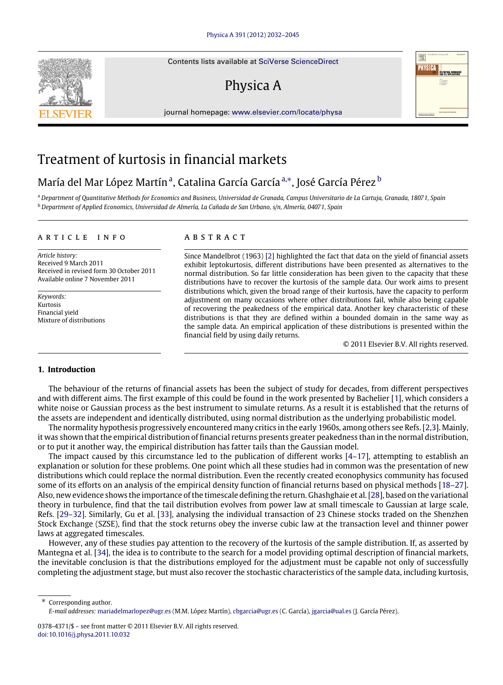Contents lists available at [SciVerse ScienceDirect](http://www.elsevier.com/locate/physa)

## Physica A

journal homepage: [www.elsevier.com/locate/physa](http://www.elsevier.com/locate/physa)

### Treatment of kurtosis in financial markets

### M[a](#page-0-0)ría del Mar López Martínª, Catalina García Garcíaª\*, José García Pérez <sup>[b](#page-0-2)</sup>

<span id="page-0-2"></span><span id="page-0-0"></span><sup>a</sup> *Department of Quantitative Methods for Economics and Business, Universidad de Granada, Campus Universitario de La Cartuja, Granada, 18071, Spain* <sup>b</sup> *Department of Applied Economics, Universidad de Almería, La Cañada de San Urbano, s/n, Almería, 04071, Spain*

#### a r t i c l e i n f o

*Article history:* Received 9 March 2011 Received in revised form 30 October 2011 Available online 7 November 2011

*Keywords:* Kurtosis Financial yield Mixture of distributions

#### a b s t r a c t

Since Mandelbrot (1963) [\[2\]](#page--1-0) highlighted the fact that data on the yield of financial assets exhibit leptokurtosis, different distributions have been presented as alternatives to the normal distribution. So far little consideration has been given to the capacity that these distributions have to recover the kurtosis of the sample data. Our work aims to present distributions which, given the broad range of their kurtosis, have the capacity to perform adjustment on many occasions where other distributions fail, while also being capable of recovering the peakedness of the empirical data. Another key characteristic of these distributions is that they are defined within a bounded domain in the same way as the sample data. An empirical application of these distributions is presented within the financial field by using daily returns.

© 2011 Elsevier B.V. All rights reserved.

#### **1. Introduction**

The behaviour of the returns of financial assets has been the subject of study for decades, from different perspectives and with different aims. The first example of this could be found in the work presented by Bachelier [\[1\]](#page--1-1), which considers a white noise or Gaussian process as the best instrument to simulate returns. As a result it is established that the returns of the assets are independent and identically distributed, using normal distribution as the underlying probabilistic model.

The normality hypothesis progressively encountered many critics in the early 1960s, among others see Refs. [\[2](#page--1-0)[,3\]](#page--1-2). Mainly, it was shown that the empirical distribution of financial returns presents greater peakedness than in the normal distribution, or to put it another way, the empirical distribution has fatter tails than the Gaussian model.

The impact caused by this circumstance led to the publication of different works [\[4–17\]](#page--1-3), attempting to establish an explanation or solution for these problems. One point which all these studies had in common was the presentation of new distributions which could replace the normal distribution. Even the recently created econophysics community has focused some of its efforts on an analysis of the empirical density function of financial returns based on physical methods [\[18–27\]](#page--1-4). Also, new evidence shows the importance of the timescale defining the return. Ghashghaie et al. [\[28\]](#page--1-5), based on the variational theory in turbulence, find that the tail distribution evolves from power law at small timescale to Gaussian at large scale, Refs. [\[29–32\]](#page--1-6). Similarly, Gu et al. [\[33\]](#page--1-7), analysing the individual transaction of 23 Chinese stocks traded on the Shenzhen Stock Exchange (SZSE), find that the stock returns obey the inverse cubic law at the transaction level and thinner power laws at aggregated timescales.

However, any of these studies pay attention to the recovery of the kurtosis of the sample distribution. If, as asserted by Mantegna et al. [\[34\]](#page--1-8), the idea is to contribute to the search for a model providing optimal description of financial markets, the inevitable conclusion is that the distributions employed for the adjustment must be capable not only of successfully completing the adjustment stage, but must also recover the stochastic characteristics of the sample data, including kurtosis,

<span id="page-0-1"></span>Corresponding author. *E-mail addresses:* [mariadelmarlopez@ugr.es](mailto:mariadelmarlopez@ugr.es) (M.M. López Martín), [cbgarcia@ugr.es](mailto:cbgarcia@ugr.es) (C. García), [jgarcia@ual.es](mailto:jgarcia@ual.es) (J. García Pérez).





<sup>0378-4371/\$ –</sup> see front matter © 2011 Elsevier B.V. All rights reserved. [doi:10.1016/j.physa.2011.10.032](http://dx.doi.org/10.1016/j.physa.2011.10.032)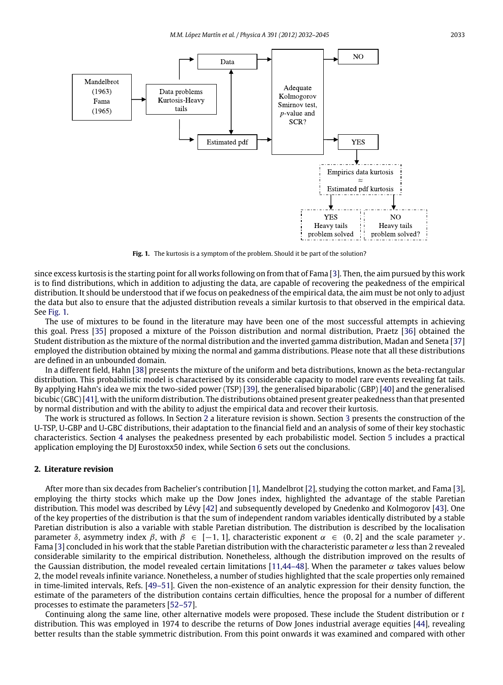<span id="page-1-0"></span>

Fig. 1. The kurtosis is a symptom of the problem. Should it be part of the solution?

since excess kurtosis is the starting point for all works following on from that of Fama [\[3\]](#page--1-2). Then, the aim pursued by this work is to find distributions, which in addition to adjusting the data, are capable of recovering the peakedness of the empirical distribution. It should be understood that if we focus on peakedness of the empirical data, the aim must be not only to adjust the data but also to ensure that the adjusted distribution reveals a similar kurtosis to that observed in the empirical data. See [Fig. 1.](#page-1-0)

The use of mixtures to be found in the literature may have been one of the most successful attempts in achieving this goal. Press [\[35\]](#page--1-9) proposed a mixture of the Poisson distribution and normal distribution, Praetz [\[36\]](#page--1-10) obtained the Student distribution as the mixture of the normal distribution and the inverted gamma distribution, Madan and Seneta [\[37\]](#page--1-11) employed the distribution obtained by mixing the normal and gamma distributions. Please note that all these distributions are defined in an unbounded domain.

In a different field, Hahn [\[38\]](#page--1-12) presents the mixture of the uniform and beta distributions, known as the beta-rectangular distribution. This probabilistic model is characterised by its considerable capacity to model rare events revealing fat tails. By applying Hahn's idea we mix the two-sided power (TSP) [\[39\]](#page--1-13), the generalised biparabolic (GBP) [\[40\]](#page--1-14) and the generalised bicubic (GBC) [\[41\]](#page--1-15), with the uniform distribution. The distributions obtained present greater peakedness than that presented by normal distribution and with the ability to adjust the empirical data and recover their kurtosis.

The work is structured as follows. In Section [2](#page-1-1) a literature revision is shown. Section [3](#page--1-16) presents the construction of the U-TSP, U-GBP and U-GBC distributions, their adaptation to the financial field and an analysis of some of their key stochastic characteristics. Section [4](#page--1-17) analyses the peakedness presented by each probabilistic model. Section [5](#page--1-18) includes a practical application employing the DJ Eurostoxx50 index, while Section [6](#page--1-19) sets out the conclusions.

#### <span id="page-1-1"></span>**2. Literature revision**

After more than six decades from Bachelier's contribution [\[1\]](#page--1-1), Mandelbrot [\[2\]](#page--1-0), studying the cotton market, and Fama [\[3\]](#page--1-2), employing the thirty stocks which make up the Dow Jones index, highlighted the advantage of the stable Paretian distribution. This model was described by Lévy [\[42\]](#page--1-20) and subsequently developed by Gnedenko and Kolmogorov [\[43\]](#page--1-21). One of the key properties of the distribution is that the sum of independent random variables identically distributed by a stable Paretian distribution is also a variable with stable Paretian distribution. The distribution is described by the localisation parameter δ, asymmetry index β, with β ∈ [-1, 1], characteristic exponent  $\alpha$  ∈ (0, 2] and the scale parameter γ. Fama [\[3\]](#page--1-2) concluded in his work that the stable Paretian distribution with the characteristic parameter α less than 2 revealed considerable similarity to the empirical distribution. Nonetheless, although the distribution improved on the results of the Gaussian distribution, the model revealed certain limitations [\[11,](#page--1-22)[44–48\]](#page--1-23). When the parameter  $\alpha$  takes values below 2, the model reveals infinite variance. Nonetheless, a number of studies highlighted that the scale properties only remained in time-limited intervals, Refs. [\[49–51\]](#page--1-24). Given the non-existence of an analytic expression for their density function, the estimate of the parameters of the distribution contains certain difficulties, hence the proposal for a number of different processes to estimate the parameters [\[52–57\]](#page--1-25).

Continuing along the same line, other alternative models were proposed. These include the Student distribution or *t* distribution. This was employed in 1974 to describe the returns of Dow Jones industrial average equities [\[44\]](#page--1-23), revealing better results than the stable symmetric distribution. From this point onwards it was examined and compared with other